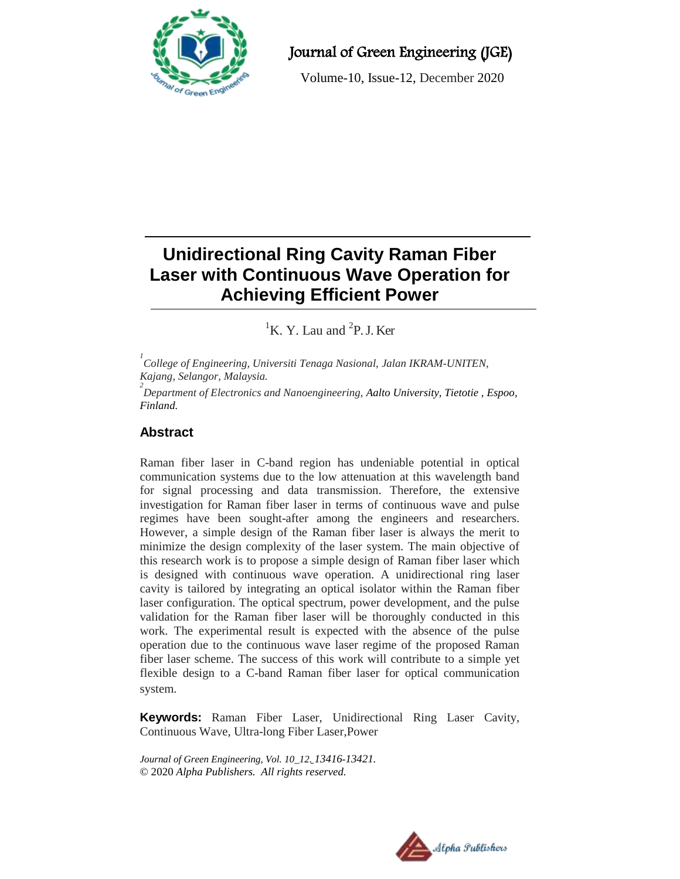

Journal of Green Engineering (JGE)

Volume-10, Issue-12, December 2020

# **Unidirectional Ring Cavity Raman Fiber Laser with Continuous Wave Operation for Achieving Efficient Power**

 ${}^{1}$ K. Y. Lau and  ${}^{2}$ P. J. Ker

*1 College of Engineering, Universiti Tenaga Nasional, Jalan IKRAM-UNITEN, Kajang, Selangor, Malaysia.*

*2 Department of Electronics and Nanoengineering, Aalto University, Tietotie , Espoo, Finland.*

# **Abstract**

Raman fiber laser in C-band region has undeniable potential in optical communication systems due to the low attenuation at this wavelength band for signal processing and data transmission. Therefore, the extensive investigation for Raman fiber laser in terms of continuous wave and pulse regimes have been sought-after among the engineers and researchers. However, a simple design of the Raman fiber laser is always the merit to minimize the design complexity of the laser system. The main objective of this research work is to propose a simple design of Raman fiber laser which is designed with continuous wave operation. A unidirectional ring laser cavity is tailored by integrating an optical isolator within the Raman fiber laser configuration. The optical spectrum, power development, and the pulse validation for the Raman fiber laser will be thoroughly conducted in this work. The experimental result is expected with the absence of the pulse operation due to the continuous wave laser regime of the proposed Raman fiber laser scheme. The success of this work will contribute to a simple yet flexible design to a C-band Raman fiber laser for optical communication system.

**Keywords:** Raman Fiber Laser, Unidirectional Ring Laser Cavity, Continuous Wave, Ultra-long Fiber Laser,Power

*Journal of Green Engineering, Vol. 10\_12. 13416-13421.* © 2020 *Alpha Publishers. All rights reserved.*

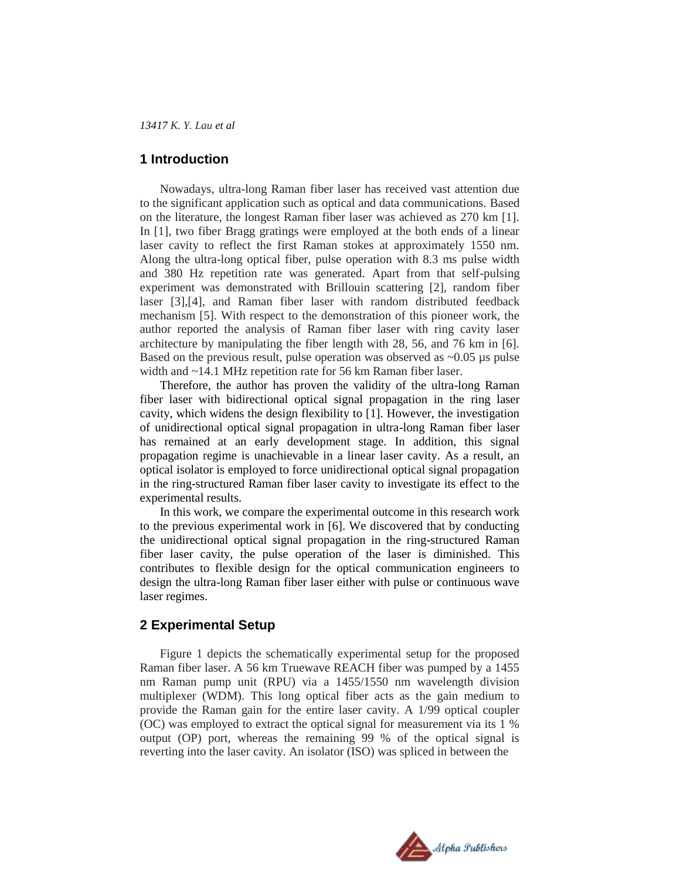*13417 K. Y. Lau et al* 

# **1 Introduction**

Nowadays, ultra-long Raman fiber laser has received vast attention due to the significant application such as optical and data communications. Based on the literature, the longest Raman fiber laser was achieved as 270 km [1]. In [1], two fiber Bragg gratings were employed at the both ends of a linear laser cavity to reflect the first Raman stokes at approximately 1550 nm. Along the ultra-long optical fiber, pulse operation with 8.3 ms pulse width and 380 Hz repetition rate was generated. Apart from that self-pulsing experiment was demonstrated with Brillouin scattering [2], random fiber laser [3],[4], and Raman fiber laser with random distributed feedback mechanism [5]. With respect to the demonstration of this pioneer work, the author reported the analysis of Raman fiber laser with ring cavity laser architecture by manipulating the fiber length with 28, 56, and 76 km in [6]. Based on the previous result, pulse operation was observed as  $\sim 0.05$  µs pulse width and ~14.1 MHz repetition rate for 56 km Raman fiber laser.

Therefore, the author has proven the validity of the ultra-long Raman fiber laser with bidirectional optical signal propagation in the ring laser cavity, which widens the design flexibility to [1]. However, the investigation of unidirectional optical signal propagation in ultra-long Raman fiber laser has remained at an early development stage. In addition, this signal propagation regime is unachievable in a linear laser cavity. As a result, an optical isolator is employed to force unidirectional optical signal propagation in the ring-structured Raman fiber laser cavity to investigate its effect to the experimental results.

In this work, we compare the experimental outcome in this research work to the previous experimental work in [6]. We discovered that by conducting the unidirectional optical signal propagation in the ring-structured Raman fiber laser cavity, the pulse operation of the laser is diminished. This contributes to flexible design for the optical communication engineers to design the ultra-long Raman fiber laser either with pulse or continuous wave laser regimes.

# **2 Experimental Setup**

Figure 1 depicts the schematically experimental setup for the proposed Raman fiber laser. A 56 km Truewave REACH fiber was pumped by a 1455 nm Raman pump unit (RPU) via a 1455/1550 nm wavelength division multiplexer (WDM). This long optical fiber acts as the gain medium to provide the Raman gain for the entire laser cavity. A 1/99 optical coupler (OC) was employed to extract the optical signal for measurement via its 1 % output (OP) port, whereas the remaining 99 % of the optical signal is reverting into the laser cavity. An isolator (ISO) was spliced in between the

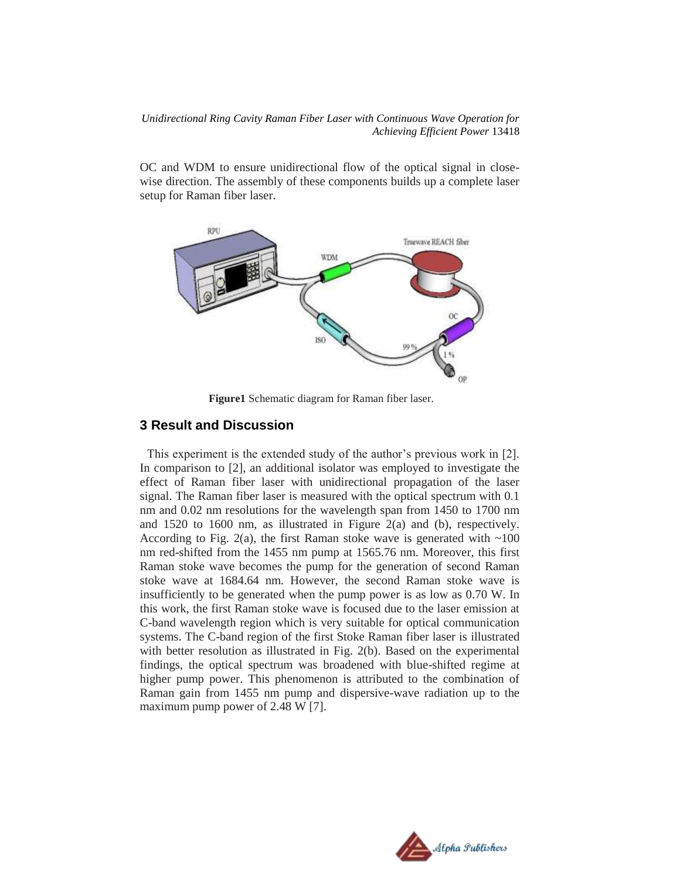*Unidirectional Ring Cavity Raman Fiber Laser with Continuous Wave Operation for Achieving Efficient Power* 13418

OC and WDM to ensure unidirectional flow of the optical signal in closewise direction. The assembly of these components builds up a complete laser setup for Raman fiber laser.



**Figure1** Schematic diagram for Raman fiber laser.

#### **3 Result and Discussion**

This experiment is the extended study of the author's previous work in [2]. In comparison to [2], an additional isolator was employed to investigate the effect of Raman fiber laser with unidirectional propagation of the laser signal. The Raman fiber laser is measured with the optical spectrum with 0.1 nm and 0.02 nm resolutions for the wavelength span from 1450 to 1700 nm and 1520 to 1600 nm, as illustrated in Figure 2(a) and (b), respectively. According to Fig. 2(a), the first Raman stoke wave is generated with  $\sim 100$ nm red-shifted from the 1455 nm pump at 1565.76 nm. Moreover, this first Raman stoke wave becomes the pump for the generation of second Raman stoke wave at 1684.64 nm. However, the second Raman stoke wave is insufficiently to be generated when the pump power is as low as 0.70 W. In this work, the first Raman stoke wave is focused due to the laser emission at C-band wavelength region which is very suitable for optical communication systems. The C-band region of the first Stoke Raman fiber laser is illustrated with better resolution as illustrated in Fig. 2(b). Based on the experimental findings, the optical spectrum was broadened with blue-shifted regime at higher pump power. This phenomenon is attributed to the combination of Raman gain from 1455 nm pump and dispersive-wave radiation up to the maximum pump power of 2.48 W [7].

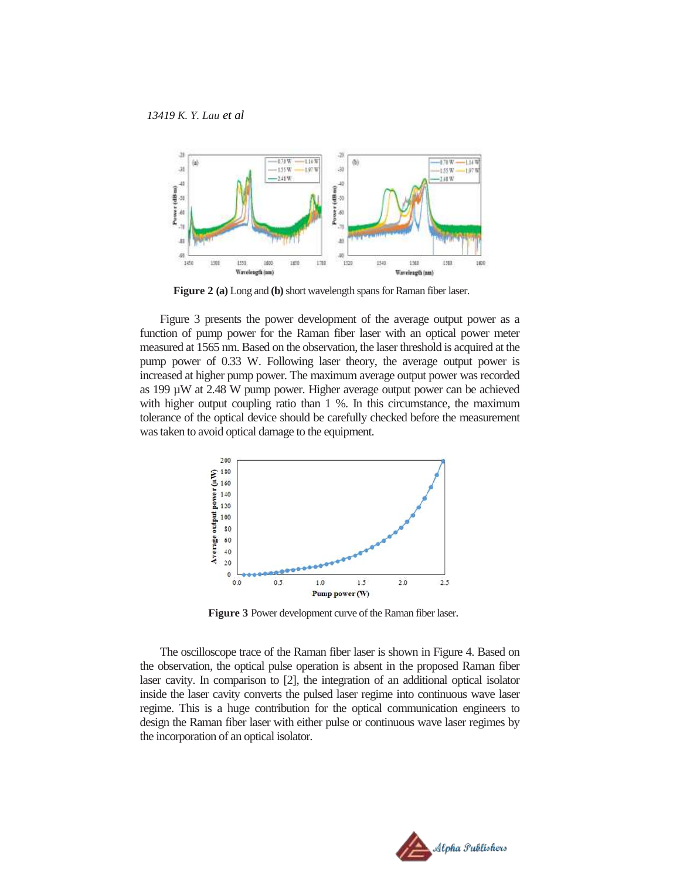*13419 K. Y. Lau et al*



**Figure 2 (a)** Long and **(b)**short wavelength spans for Raman fiber laser.

Figure 3 presents the power development of the average output power as a function of pump power for the Raman fiber laser with an optical power meter measured at 1565 nm. Based on the observation, the laser threshold is acquired at the pump power of 0.33 W. Following laser theory, the average output power is increased at higher pump power. The maximum average output power was recorded as 199 µW at 2.48 W pump power. Higher average output power can be achieved with higher output coupling ratio than 1 %. In this circumstance, the maximum tolerance of the optical device should be carefully checked before the measurement was taken to avoid optical damage to the equipment.



**Figure 3** Power development curve of the Raman fiber laser.

The oscilloscope trace of the Raman fiber laser is shown in Figure 4. Based on the observation, the optical pulse operation is absent in the proposed Raman fiber laser cavity. In comparison to [2], the integration of an additional optical isolator inside the laser cavity converts the pulsed laser regime into continuous wave laser regime. This is a huge contribution for the optical communication engineers to design the Raman fiber laser with either pulse or continuous wave laser regimes by the incorporation of an optical isolator.

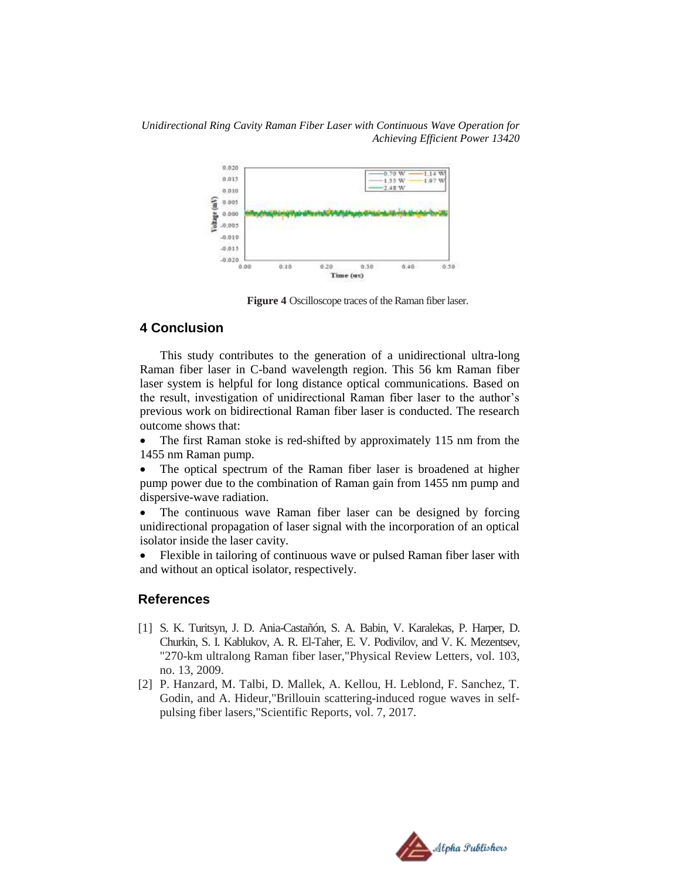*Unidirectional Ring Cavity Raman Fiber Laser with Continuous Wave Operation for Achieving Efficient Power 13420*



 **Figure 4** Oscilloscope traces of the Raman fiber laser.

## **4 Conclusion**

This study contributes to the generation of a unidirectional ultra-long Raman fiber laser in C-band wavelength region. This 56 km Raman fiber laser system is helpful for long distance optical communications. Based on the result, investigation of unidirectional Raman fiber laser to the author's previous work on bidirectional Raman fiber laser is conducted. The research outcome shows that:

• The first Raman stoke is red-shifted by approximately 115 nm from the 1455 nm Raman pump.

 The optical spectrum of the Raman fiber laser is broadened at higher pump power due to the combination of Raman gain from 1455 nm pump and dispersive-wave radiation.

• The continuous wave Raman fiber laser can be designed by forcing unidirectional propagation of laser signal with the incorporation of an optical isolator inside the laser cavity.

 Flexible in tailoring of continuous wave or pulsed Raman fiber laser with and without an optical isolator, respectively.

#### **References**

- [1] S. K. Turitsyn, J. D. Ania-Castañón, S. A. Babin, V. Karalekas, P. Harper, D. Churkin, S. I. Kablukov, A. R. El-Taher, E. V. Podivilov, and V. K. Mezentsev, "270-km ultralong Raman fiber laser,"Physical Review Letters, vol. 103, no. 13, 2009.
- [2] P. Hanzard, M. Talbi, D. Mallek, A. Kellou, H. Leblond, F. Sanchez, T. Godin, and A. Hideur,"Brillouin scattering-induced rogue waves in selfpulsing fiber lasers,"Scientific Reports, vol. 7, 2017.